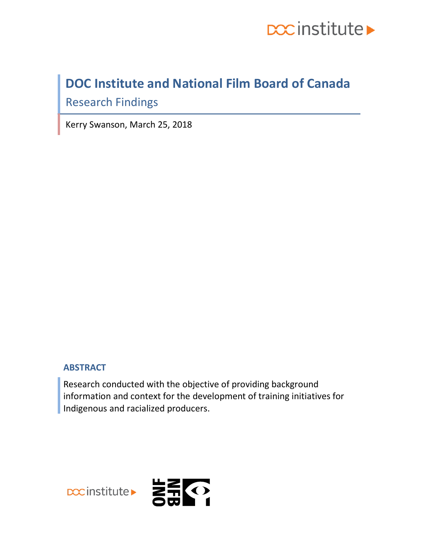

## **DOC Institute and National Film Board of Canada** Research Findings

Kerry Swanson, March 25, 2018

### **ABSTRACT**

Research conducted with the objective of providing background information and context for the development of training initiatives for Indigenous and racialized producers.



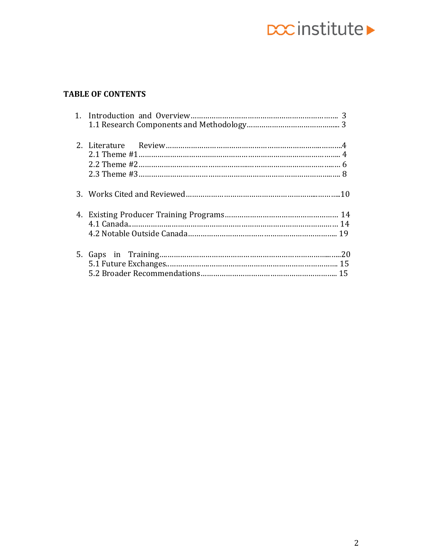# **DCC** institute

## **TABLE OF CONTENTS**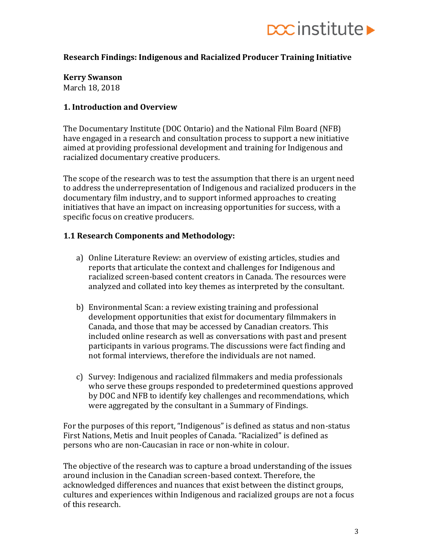

#### **Research Findings: Indigenous and Racialized Producer Training Initiative**

**Kerry Swanson**

March 18, 2018

#### **1. Introduction and Overview**

The Documentary Institute (DOC Ontario) and the National Film Board (NFB) have engaged in a research and consultation process to support a new initiative aimed at providing professional development and training for Indigenous and racialized documentary creative producers.

The scope of the research was to test the assumption that there is an urgent need to address the underrepresentation of Indigenous and racialized producers in the documentary film industry, and to support informed approaches to creating initiatives that have an impact on increasing opportunities for success, with a specific focus on creative producers.

#### **1.1 Research Components and Methodology:**

- a) Online Literature Review: an overview of existing articles, studies and reports that articulate the context and challenges for Indigenous and racialized screen-based content creators in Canada. The resources were analyzed and collated into key themes as interpreted by the consultant.
- b) Environmental Scan: a review existing training and professional development opportunities that exist for documentary filmmakers in Canada, and those that may be accessed by Canadian creators. This included online research as well as conversations with past and present participants in various programs. The discussions were fact finding and not formal interviews, therefore the individuals are not named.
- c) Survey: Indigenous and racialized filmmakers and media professionals who serve these groups responded to predetermined questions approved by DOC and NFB to identify key challenges and recommendations, which were aggregated by the consultant in a Summary of Findings.

For the purposes of this report, "Indigenous" is defined as status and non-status First Nations, Metis and Inuit peoples of Canada. "Racialized" is defined as persons who are non-Caucasian in race or non-white in colour.

The objective of the research was to capture a broad understanding of the issues around inclusion in the Canadian screen-based context. Therefore, the acknowledged differences and nuances that exist between the distinct groups, cultures and experiences within Indigenous and racialized groups are not a focus of this research.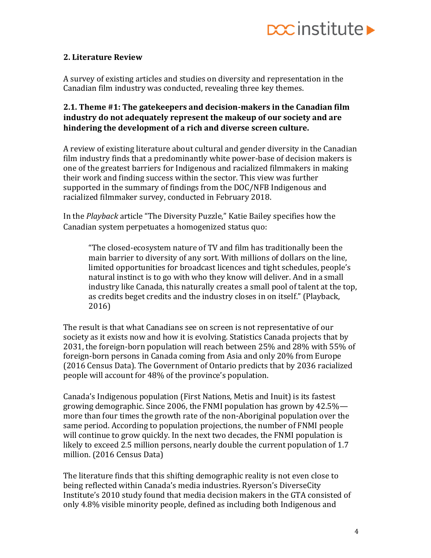### **2. Literature Review**

A survey of existing articles and studies on diversity and representation in the Canadian film industry was conducted, revealing three key themes.

### **2.1. Theme #1: The gatekeepers and decision-makers in the Canadian film industry do not adequately represent the makeup of our society and are hindering the development of a rich and diverse screen culture.**

A review of existing literature about cultural and gender diversity in the Canadian film industry finds that a predominantly white power-base of decision makers is one of the greatest barriers for Indigenous and racialized filmmakers in making their work and finding success within the sector. This view was further supported in the summary of findings from the DOC/NFB Indigenous and racialized filmmaker survey, conducted in February 2018.

In the *Playback* article "The Diversity Puzzle," Katie Bailey specifies how the Canadian system perpetuates a homogenized status quo:

"The closed-ecosystem nature of TV and film has traditionally been the main barrier to diversity of any sort. With millions of dollars on the line, limited opportunities for broadcast licences and tight schedules, people's natural instinct is to go with who they know will deliver. And in a small industry like Canada, this naturally creates a small pool of talent at the top, as credits beget credits and the industry closes in on itself." (Playback, 2016)

The result is that what Canadians see on screen is not representative of our society as it exists now and how it is evolving. Statistics Canada projects that by 2031, the foreign-born population will reach between 25% and 28% with 55% of foreign-born persons in Canada coming from Asia and only 20% from Europe (2016 Census Data). The Government of Ontario predicts that by 2036 racialized people will account for 48% of the province's population.

Canada's Indigenous population (First Nations, Metis and Inuit) is its fastest growing demographic. Since 2006, the FNMI population has grown by 42.5% more than four times the growth rate of the non-Aboriginal population over the same period. According to population projections, the number of FNMI people will continue to grow quickly. In the next two decades, the FNMI population is likely to exceed 2.5 million persons, nearly double the current population of 1.7 million. (2016 Census Data)

The literature finds that this shifting demographic reality is not even close to being reflected within Canada's media industries. Ryerson's DiverseCity Institute's 2010 study found that media decision makers in the GTA consisted of only 4.8% visible minority people, defined as including both Indigenous and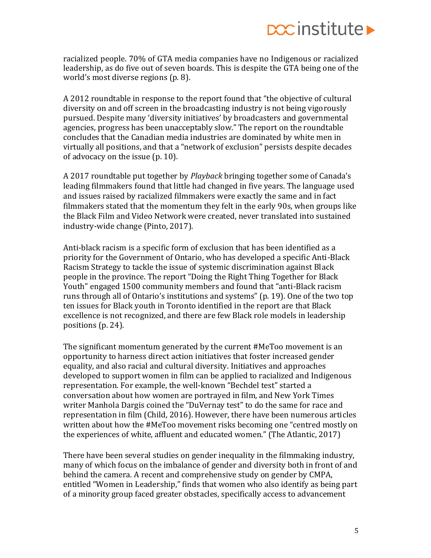

racialized people. 70% of GTA media companies have no Indigenous or racialized leadership, as do five out of seven boards. This is despite the GTA being one of the world's most diverse regions (p. 8).

A 2012 roundtable in response to the report found that "the objective of cultural diversity on and off screen in the broadcasting industry is not being vigorously pursued. Despite many 'diversity initiatives' by broadcasters and governmental agencies, progress has been unacceptably slow." The report on the roundtable concludes that the Canadian media industries are dominated by white men in virtually all positions, and that a "network of exclusion" persists despite decades of advocacy on the issue (p. 10).

A 2017 roundtable put together by *Playback* bringing together some of Canada's leading filmmakers found that little had changed in five years. The language used and issues raised by racialized filmmakers were exactly the same and in fact filmmakers stated that the momentum they felt in the early 90s, when groups like the Black Film and Video Network were created, never translated into sustained industry-wide change (Pinto, 2017).

Anti-black racism is a specific form of exclusion that has been identified as a priority for the Government of Ontario, who has developed a specific Anti-Black Racism Strategy to tackle the issue of systemic discrimination against Black people in the province. The report "Doing the Right Thing Together for Black Youth" engaged 1500 community members and found that "anti-Black racism runs through all of Ontario's institutions and systems" (p. 19). One of the two top ten issues for Black youth in Toronto identified in the report are that Black excellence is not recognized, and there are few Black role models in leadership positions (p. 24).

The significant momentum generated by the current #MeToo movement is an opportunity to harness direct action initiatives that foster increased gender equality, and also racial and cultural diversity. Initiatives and approaches developed to support women in film can be applied to racialized and Indigenous representation. For example, the well-known "Bechdel test" started a conversation about how women are portrayed in film, and New York Times writer Manhola Dargis coined the "DuVernay test" to do the same for race and representation in film (Child, 2016). However, there have been numerous articles written about how the #MeToo movement risks becoming one "centred mostly on the experiences of white, affluent and educated women." (The Atlantic, 2017)

There have been several studies on gender inequality in the filmmaking industry, many of which focus on the imbalance of gender and diversity both in front of and behind the camera. A recent and comprehensive study on gender by CMPA, entitled "Women in Leadership," finds that women who also identify as being part of a minority group faced greater obstacles, specifically access to advancement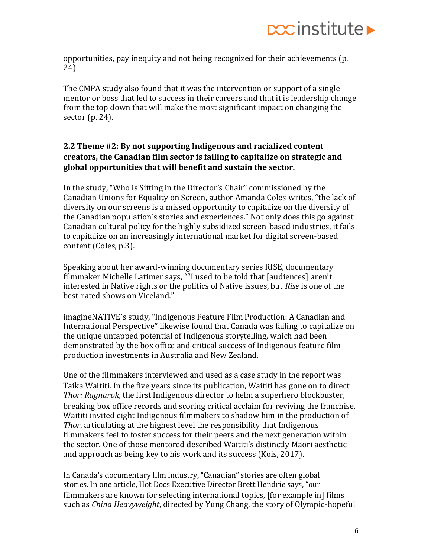

opportunities, pay inequity and not being recognized for their achievements (p. 24)

The CMPA study also found that it was the intervention or support of a single mentor or boss that led to success in their careers and that it is leadership change from the top down that will make the most significant impact on changing the sector (p. 24).

### **2.2 Theme #2: By not supporting Indigenous and racialized content creators, the Canadian film sector is failing to capitalize on strategic and global opportunities that will benefit and sustain the sector.**

In the study, "Who is Sitting in the Director's Chair" commissioned by the Canadian Unions for Equality on Screen, author Amanda Coles writes, "the lack of diversity on our screens is a missed opportunity to capitalize on the diversity of the Canadian population's stories and experiences." Not only does this go against Canadian cultural policy for the highly subsidized screen-based industries, it fails to capitalize on an increasingly international market for digital screen-based content (Coles, p.3).

Speaking about her award-winning documentary series RISE, documentary filmmaker Michelle Latimer says, ""I used to be told that [audiences] aren't interested in Native rights or the politics of Native issues, but *Rise* is one of the best-rated shows on Viceland."

imagineNATIVE's study, "Indigenous Feature Film Production: A Canadian and International Perspective" likewise found that Canada was failing to capitalize on the unique untapped potential of Indigenous storytelling, which had been demonstrated by the box office and critical success of Indigenous feature film production investments in Australia and New Zealand.

One of the filmmakers interviewed and used as a case study in the report was Taika Waititi. In the five years since its publication, Waititi has gone on to direct *Thor: Ragnarok*, the first Indigenous director to helm a superhero blockbuster, breaking box office records and scoring critical acclaim for reviving the franchise. Waititi invited eight Indigenous filmmakers to shadow him in the production of *Thor*, articulating at the highest level the responsibility that Indigenous filmmakers feel to foster success for their peers and the next generation within the sector. One of those mentored described Waititi's distinctly Maori aesthetic and approach as being key to his work and its success (Kois, 2017).

In Canada's documentary film industry, "Canadian" stories are often global stories. In one article, Hot Docs Executive Director Brett Hendrie says, "our filmmakers are known for selecting international topics, [for example in] films such as *China Heavyweight*, directed by Yung Chang, the story of Olympic-hopeful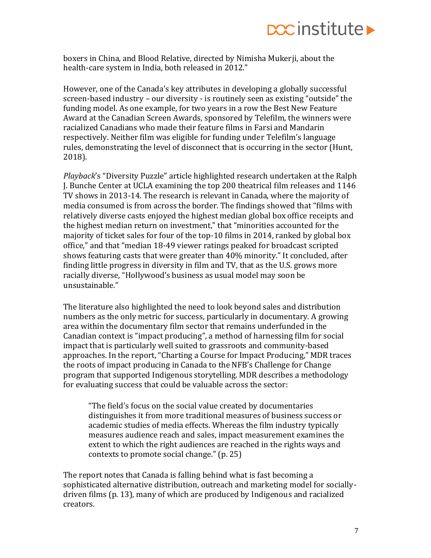

boxers in China, and Blood Relative, directed by Nimisha Mukerji, about the health-care system in India, both released in 2012."

However, one of the Canada's key attributes in developing a globally successful screen-based industry – our diversity - is routinely seen as existing "outside" the funding model. As one example, for two years in a row the Best New Feature Award at the Canadian Screen Awards, sponsored by Telefilm, the winners were racialized Canadians who made their feature films in Farsi and Mandarin respectively. Neither film was eligible for funding under Telefilm's language rules, demonstrating the level of disconnect that is occurring in the sector (Hunt, 2018).

*Playback*'s "Diversity Puzzle" article highlighted research undertaken at the Ralph J. Bunche Center at UCLA examining the top 200 theatrical film releases and 1146 TV shows in 2013-14. The research is relevant in Canada, where the majority of media consumed is from across the border. The findings showed that "films with relatively diverse casts enjoyed the highest median global box office receipts and the highest median return on investment," that "minorities accounted for the majority of ticket sales for four of the top-10 films in 2014, ranked by global box office," and that "median 18-49 viewer ratings peaked for broadcast scripted shows featuring casts that were greater than 40% minority." It concluded, after finding little progress in diversity in film and TV, that as the U.S. grows more racially diverse, "Hollywood's business as usual model may soon be unsustainable."

The literature also highlighted the need to look beyond sales and distribution numbers as the only metric for success, particularly in documentary. A growing area within the documentary film sector that remains underfunded in the Canadian context is "impact producing", a method of harnessing film for social impact that is particularly well suited to grassroots and community-based approaches. In the report, "Charting a Course for Impact Producing," MDR traces the roots of impact producing in Canada to the NFB's Challenge for Change program that supported Indigenous storytelling. MDR describes a methodology for evaluating success that could be valuable across the sector:

"The field's focus on the social value created by documentaries distinguishes it from more traditional measures of business success or academic studies of media effects. Whereas the film industry typically measures audience reach and sales, impact measurement examines the extent to which the right audiences are reached in the rights ways and contexts to promote social change." (p. 25)

The report notes that Canada is falling behind what is fast becoming a sophisticated alternative distribution, outreach and marketing model for sociallydriven films (p. 13), many of which are produced by Indigenous and racialized creators.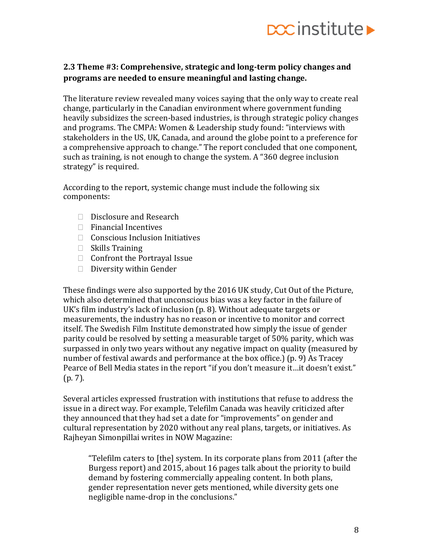

## **2.3 Theme #3: Comprehensive, strategic and long-term policy changes and programs are needed to ensure meaningful and lasting change.**

The literature review revealed many voices saying that the only way to create real change, particularly in the Canadian environment where government funding heavily subsidizes the screen-based industries, is through strategic policy changes and programs. The CMPA: Women & Leadership study found: "interviews with stakeholders in the US, UK, Canada, and around the globe point to a preference for a comprehensive approach to change." The report concluded that one component, such as training, is not enough to change the system. A "360 degree inclusion strategy" is required.

According to the report, systemic change must include the following six components:

- □ Disclosure and Research
- $\Box$  Financial Incentives
- $\Box$  Conscious Inclusion Initiatives
- $\Box$  Skills Training
- $\Box$  Confront the Portrayal Issue
- $\Box$  Diversity within Gender

These findings were also supported by the 2016 UK study, Cut Out of the Picture, which also determined that unconscious bias was a key factor in the failure of UK's film industry's lack of inclusion (p. 8). Without adequate targets or measurements, the industry has no reason or incentive to monitor and correct itself. The Swedish Film Institute demonstrated how simply the issue of gender parity could be resolved by setting a measurable target of 50% parity, which was surpassed in only two years without any negative impact on quality (measured by number of festival awards and performance at the box office.) (p. 9) As Tracey Pearce of Bell Media states in the report "if you don't measure it…it doesn't exist." (p. 7).

Several articles expressed frustration with institutions that refuse to address the issue in a direct way. For example, Telefilm Canada was heavily criticized after they announced that they had set a date for "improvements" on gender and cultural representation by 2020 without any real plans, targets, or initiatives. As Rajheyan Simonpillai writes in NOW Magazine:

"Telefilm caters to [the] system. In its corporate plans from 2011 (after the Burgess report) and 2015, about 16 pages talk about the priority to build demand by fostering commercially appealing content. In both plans, gender representation never gets mentioned, while diversity gets one negligible name-drop in the conclusions."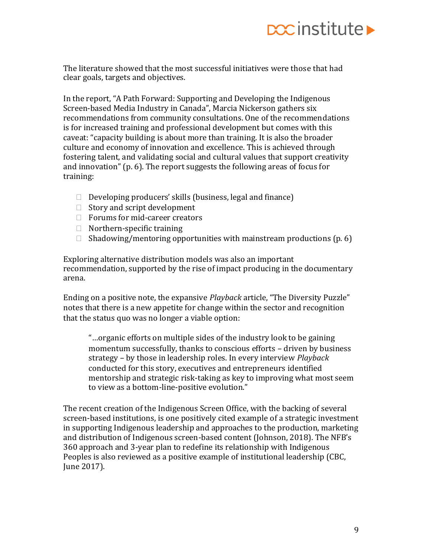The literature showed that the most successful initiatives were those that had clear goals, targets and objectives.

In the report, "A Path Forward: Supporting and Developing the Indigenous Screen-based Media Industry in Canada", Marcia Nickerson gathers six recommendations from community consultations. One of the recommendations is for increased training and professional development but comes with this caveat: "capacity building is about more than training. It is also the broader culture and economy of innovation and excellence. This is achieved through fostering talent, and validating social and cultural values that support creativity and innovation" (p. 6). The report suggests the following areas of focus for training:

- $\Box$  Developing producers' skills (business, legal and finance)
- $\Box$  Story and script development
- $\Box$  Forums for mid-career creators
- $\Box$  Northern-specific training
- $\Box$  Shadowing/mentoring opportunities with mainstream productions (p. 6)

Exploring alternative distribution models was also an important recommendation, supported by the rise of impact producing in the documentary arena.

Ending on a positive note, the expansive *Playback* article, "The Diversity Puzzle" notes that there is a new appetite for change within the sector and recognition that the status quo was no longer a viable option:

"…organic efforts on multiple sides of the industry look to be gaining momentum successfully, thanks to conscious efforts – driven by business strategy – by those in leadership roles. In every interview *Playback* conducted for this story, executives and entrepreneurs identified mentorship and strategic risk-taking as key to improving what most seem to view as a bottom-line-positive evolution."

The recent creation of the Indigenous Screen Office, with the backing of several screen-based institutions, is one positively cited example of a strategic investment in supporting Indigenous leadership and approaches to the production, marketing and distribution of Indigenous screen-based content (Johnson, 2018). The NFB's 360 approach and 3-year plan to redefine its relationship with Indigenous Peoples is also reviewed as a positive example of institutional leadership (CBC, June 2017).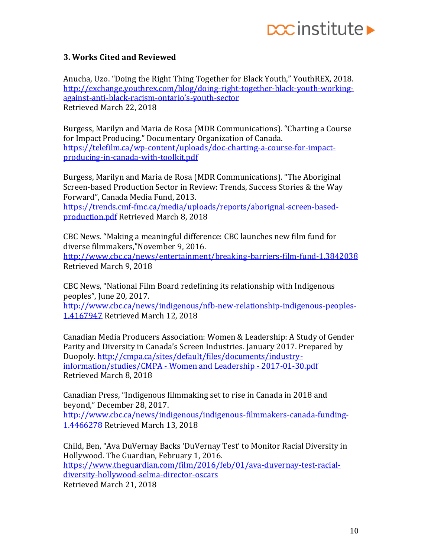# **DOC** institute

### **3. Works Cited and Reviewed**

Anucha, Uzo. "Doing the Right Thing Together for Black Youth," YouthREX, 2018. http://exchange.youthrex.com/blog/doing-right-together-black-youth-workingagainst-anti-black-racism-ontario's-youth-sector Retrieved March 22, 2018

Burgess, Marilyn and Maria de Rosa (MDR Communications). "Charting a Course for Impact Producing." Documentary Organization of Canada. https://telefilm.ca/wp-content/uploads/doc-charting-a-course-for-impactproducing-in-canada-with-toolkit.pdf

Burgess, Marilyn and Maria de Rosa (MDR Communications). "The Aboriginal Screen-based Production Sector in Review: Trends, Success Stories & the Way Forward", Canada Media Fund, 2013.

https://trends.cmf-fmc.ca/media/uploads/reports/aborignal-screen-basedproduction.pdf Retrieved March 8, 2018

CBC News. "Making a meaningful difference: CBC launches new film fund for diverse filmmakers,"November 9, 2016. http://www.cbc.ca/news/entertainment/breaking-barriers-film-fund-1.3842038

Retrieved March 9, 2018

CBC News, "National Film Board redefining its relationship with Indigenous peoples", June 20, 2017.

http://www.cbc.ca/news/indigenous/nfb-new-relationship-indigenous-peoples-1.4167947 Retrieved March 12, 2018

Canadian Media Producers Association: Women & Leadership: A Study of Gender Parity and Diversity in Canada's Screen Industries. January 2017. Prepared by Duopoly. http://cmpa.ca/sites/default/files/documents/industryinformation/studies/CMPA - Women and Leadership - 2017-01-30.pdf Retrieved March 8, 2018

Canadian Press, "Indigenous filmmaking set to rise in Canada in 2018 and beyond," December 28, 2017.

http://www.cbc.ca/news/indigenous/indigenous-filmmakers-canada-funding-1.4466278 Retrieved March 13, 2018

Child, Ben, "Ava DuVernay Backs 'DuVernay Test' to Monitor Racial Diversity in Hollywood. The Guardian, February 1, 2016. https://www.theguardian.com/film/2016/feb/01/ava-duvernay-test-racialdiversity-hollywood-selma-director-oscars Retrieved March 21, 2018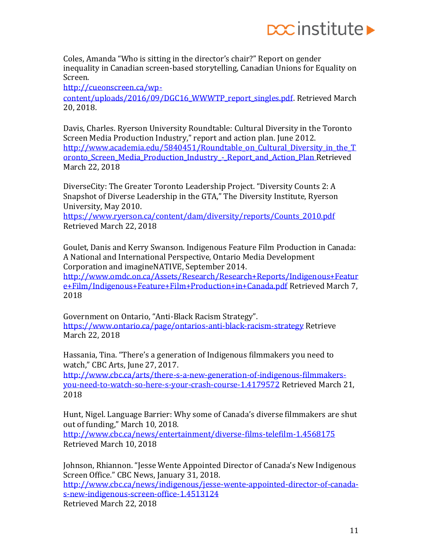

Coles, Amanda "Who is sitting in the director's chair?" Report on gender inequality in Canadian screen-based storytelling, Canadian Unions for Equality on Screen.

http://cueonscreen.ca/wp-

content/uploads/2016/09/DGC16\_WWWTP\_report\_singles.pdf. Retrieved March 20, 2018.

Davis, Charles. Ryerson University Roundtable: Cultural Diversity in the Toronto Screen Media Production Industry," report and action plan. June 2012. http://www.academia.edu/5840451/Roundtable\_on\_Cultural\_Diversity\_in\_the\_T oronto\_Screen\_Media\_Production\_Industry\_-\_Report\_and\_Action\_Plan Retrieved March 22, 2018

DiverseCity: The Greater Toronto Leadership Project. "Diversity Counts 2: A Snapshot of Diverse Leadership in the GTA," The Diversity Institute, Ryerson University, May 2010.

https://www.ryerson.ca/content/dam/diversity/reports/Counts\_2010.pdf Retrieved March 22, 2018

Goulet, Danis and Kerry Swanson. Indigenous Feature Film Production in Canada: A National and International Perspective, Ontario Media Development Corporation and imagineNATIVE, September 2014.

http://www.omdc.on.ca/Assets/Research/Research+Reports/Indigenous+Featur e+Film/Indigenous+Feature+Film+Production+in+Canada.pdf Retrieved March 7, 2018

Government on Ontario, "Anti-Black Racism Strategy". https://www.ontario.ca/page/ontarios-anti-black-racism-strategy Retrieve March 22, 2018

Hassania, Tina. "There's a generation of Indigenous filmmakers you need to watch," CBC Arts, June 27, 2017.

http://www.cbc.ca/arts/there-s-a-new-generation-of-indigenous-filmmakersyou-need-to-watch-so-here-s-your-crash-course-1.4179572 Retrieved March 21, 2018

Hunt, Nigel. Language Barrier: Why some of Canada's diverse filmmakers are shut out of funding," March 10, 2018. http://www.cbc.ca/news/entertainment/diverse-films-telefilm-1.4568175

Retrieved March 10, 2018

Johnson, Rhiannon. "Jesse Wente Appointed Director of Canada's New Indigenous Screen Office." CBC News, January 31, 2018. http://www.cbc.ca/news/indigenous/jesse-wente-appointed-director-of-canadas-new-indigenous-screen-office-1.4513124 Retrieved March 22, 2018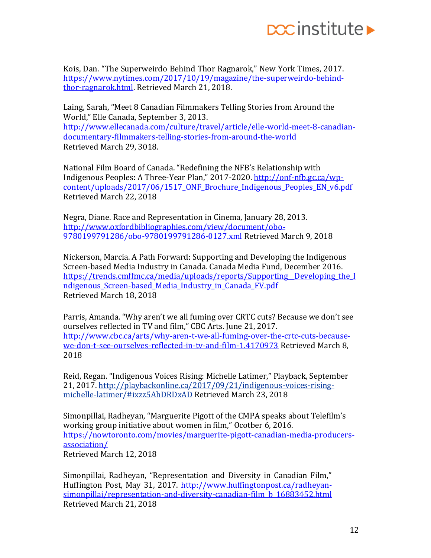Kois, Dan. "The Superweirdo Behind Thor Ragnarok," New York Times, 2017. https://www.nytimes.com/2017/10/19/magazine/the-superweirdo-behindthor-ragnarok.html. Retrieved March 21, 2018.

Laing, Sarah, "Meet 8 Canadian Filmmakers Telling Stories from Around the World," Elle Canada, September 3, 2013. http://www.ellecanada.com/culture/travel/article/elle-world-meet-8-canadiandocumentary-filmmakers-telling-stories-from-around-the-world

Retrieved March 29, 3018.

National Film Board of Canada. "Redefining the NFB's Relationship with Indigenous Peoples: A Three-Year Plan," 2017-2020. http://onf-nfb.gc.ca/wpcontent/uploads/2017/06/1517\_ONF\_Brochure\_Indigenous\_Peoples\_EN\_v6.pdf Retrieved March 22, 2018

Negra, Diane. Race and Representation in Cinema, January 28, 2013. http://www.oxfordbibliographies.com/view/document/obo-9780199791286/obo-9780199791286-0127.xml Retrieved March 9, 2018

Nickerson, Marcia. A Path Forward: Supporting and Developing the Indigenous Screen-based Media Industry in Canada. Canada Media Fund, December 2016. https://trends.cmffmc.ca/media/uploads/reports/Supporting\_Developing\_the\_I ndigenous\_Screen-based\_Media\_Industry\_in\_Canada\_FV.pdf Retrieved March 18, 2018

Parris, Amanda. "Why aren't we all fuming over CRTC cuts? Because we don't see ourselves reflected in TV and film," CBC Arts. June 21, 2017. http://www.cbc.ca/arts/why-aren-t-we-all-fuming-over-the-crtc-cuts-becausewe-don-t-see-ourselves-reflected-in-tv-and-film-1.4170973 Retrieved March 8, 2018

Reid, Regan. "Indigenous Voices Rising: Michelle Latimer," Playback, September 21, 2017. http://playbackonline.ca/2017/09/21/indigenous-voices-risingmichelle-latimer/#ixzz5AhDRDxAD Retrieved March 23, 2018

Simonpillai, Radheyan, "Marguerite Pigott of the CMPA speaks about Telefilm's working group initiative about women in film," Ocotber 6, 2016. https://nowtoronto.com/movies/marguerite-pigott-canadian-media-producersassociation/ Retrieved March 12, 2018

Simonpillai, Radheyan, "Representation and Diversity in Canadian Film," Huffington Post, May 31, 2017. http://www.huffingtonpost.ca/radheyansimonpillai/representation-and-diversity-canadian-film\_b\_16883452.html Retrieved March 21, 2018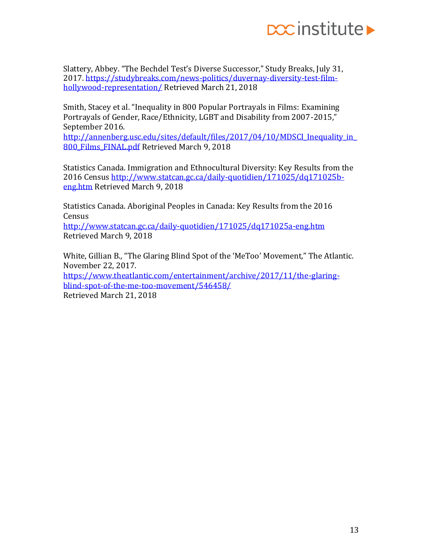## **DCC** institute

Slattery, Abbey. "The Bechdel Test's Diverse Successor," Study Breaks, July 31, 2017. https://studybreaks.com/news-politics/duvernay-diversity-test-filmhollywood-representation/Retrieved March 21, 2018

Smith, Stacey et al. "Inequality in 800 Popular Portrayals in Films: Examining Portrayals of Gender, Race/Ethnicity, LGBT and Disability from 2007-2015," September 2016.

http://annenberg.usc.edu/sites/default/files/2017/04/10/MDSCI\_Inequality\_in\_ 800 Films FINAL.pdf Retrieved March 9, 2018

Statistics Canada. Immigration and Ethnocultural Diversity: Key Results from the 2016 Census http://www.statcan.gc.ca/daily-quotidien/171025/dq171025beng.htm Retrieved March 9, 2018

Statistics Canada. Aboriginal Peoples in Canada: Key Results from the 2016 Census

http://www.statcan.gc.ca/daily-quotidien/171025/dq171025a-eng.htm Retrieved March 9, 2018

White, Gillian B., "The Glaring Blind Spot of the 'MeToo' Movement," The Atlantic. November 22, 2017.

https://www.theatlantic.com/entertainment/archive/2017/11/the-glaringblind-spot-of-the-me-too-movement/546458/

Retrieved March 21, 2018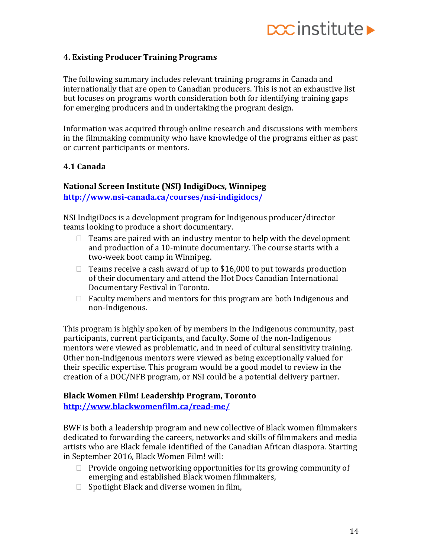## **DOC** institute

#### **4. Existing Producer Training Programs**

The following summary includes relevant training programs in Canada and internationally that are open to Canadian producers. This is not an exhaustive list but focuses on programs worth consideration both for identifying training gaps for emerging producers and in undertaking the program design.

Information was acquired through online research and discussions with members in the filmmaking community who have knowledge of the programs either as past or current participants or mentors.

#### **4.1 Canada**

#### **National Screen Institute (NSI) IndigiDocs, Winnipeg http://www.nsi-canada.ca/courses/nsi-indigidocs/**

NSI IndigiDocs is a development program for Indigenous producer/director teams looking to produce a short documentary.

- $\Box$  Teams are paired with an industry mentor to help with the development and production of a 10-minute documentary. The course starts with a two-week boot camp in Winnipeg.
- $\Box$  Teams receive a cash award of up to \$16,000 to put towards production of their documentary and attend the Hot Docs Canadian International Documentary Festival in Toronto.
- $\Box$  Faculty members and mentors for this program are both Indigenous and non-Indigenous.

This program is highly spoken of by members in the Indigenous community, past participants, current participants, and faculty. Some of the non-Indigenous mentors were viewed as problematic, and in need of cultural sensitivity training. Other non-Indigenous mentors were viewed as being exceptionally valued for their specific expertise. This program would be a good model to review in the creation of a DOC/NFB program, or NSI could be a potential delivery partner.

#### **Black Women Film! Leadership Program, Toronto http://www.blackwomenfilm.ca/read-me/**

BWF is both a leadership program and new collective of Black women filmmakers dedicated to forwarding the careers, networks and skills of filmmakers and media artists who are Black female identified of the Canadian African diaspora. Starting in September 2016, Black Women Film! will:

- $\Box$  Provide ongoing networking opportunities for its growing community of emerging and established Black women filmmakers,
- $\Box$  Spotlight Black and diverse women in film,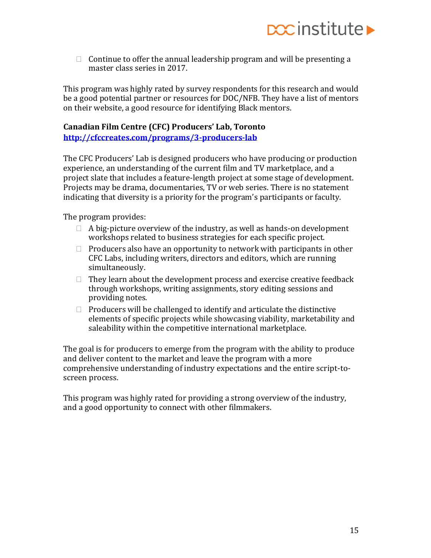

 $\Box$  Continue to offer the annual leadership program and will be presenting a master class series in 2017.

This program was highly rated by survey respondents for this research and would be a good potential partner or resources for DOC/NFB. They have a list of mentors on their website, a good resource for identifying Black mentors.

#### **Canadian Film Centre (CFC) Producers' Lab, Toronto http://cfccreates.com/programs/3-producers-lab**

The CFC Producers' Lab is designed producers who have producing or production experience, an understanding of the current film and TV marketplace, and a project slate that includes a feature-length project at some stage of development. Projects may be drama, documentaries, TV or web series. There is no statement indicating that diversity is a priority for the program's participants or faculty.

The program provides:

- $\Box$  A big-picture overview of the industry, as well as hands-on development workshops related to business strategies for each specific project.
- $\Box$  Producers also have an opportunity to network with participants in other CFC Labs, including writers, directors and editors, which are running simultaneously.
- $\Box$  They learn about the development process and exercise creative feedback through workshops, writing assignments, story editing sessions and providing notes.
- $\Box$  Producers will be challenged to identify and articulate the distinctive elements of specific projects while showcasing viability, marketability and saleability within the competitive international marketplace.

The goal is for producers to emerge from the program with the ability to produce and deliver content to the market and leave the program with a more comprehensive understanding of industry expectations and the entire script-toscreen process.

This program was highly rated for providing a strong overview of the industry, and a good opportunity to connect with other filmmakers.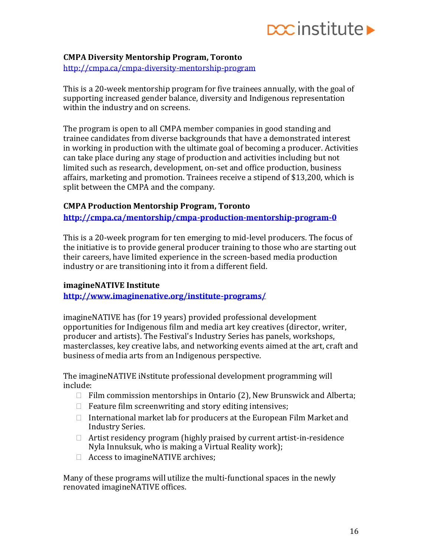

#### **CMPA Diversity Mentorship Program, Toronto**

http://cmpa.ca/cmpa-diversity-mentorship-program

This is a 20-week mentorship program for five trainees annually, with the goal of supporting increased gender balance, diversity and Indigenous representation within the industry and on screens.

The program is open to all CMPA member companies in good standing and trainee candidates from diverse backgrounds that have a demonstrated interest in working in production with the ultimate goal of becoming a producer. Activities can take place during any stage of production and activities including but not limited such as research, development, on-set and office production, business affairs, marketing and promotion. Trainees receive a stipend of \$13,200, which is split between the CMPA and the company.

#### **CMPA Production Mentorship Program, Toronto**

**http://cmpa.ca/mentorship/cmpa-production-mentorship-program-0**

This is a 20-week program for ten emerging to mid-level producers. The focus of the initiative is to provide general producer training to those who are starting out their careers, have limited experience in the screen-based media production industry or are transitioning into it from a different field.

#### **imagineNATIVE Institute**

**http://www.imaginenative.org/institute-programs/**

imagineNATIVE has (for 19 years) provided professional development opportunities for Indigenous film and media art key creatives (director, writer, producer and artists). The Festival's Industry Series has panels, workshops, masterclasses, key creative labs, and networking events aimed at the art, craft and business of media arts from an Indigenous perspective.

The imagineNATIVE iNstitute professional development programming will include:

- $\Box$  Film commission mentorships in Ontario (2), New Brunswick and Alberta;
- $\Box$  Feature film screenwriting and story editing intensives;
- $\Box$  International market lab for producers at the European Film Market and Industry Series.
- $\Box$  Artist residency program (highly praised by current artist-in-residence Nyla Innuksuk, who is making a Virtual Reality work);
- □ Access to imagineNATIVE archives;

Many of these programs will utilize the multi-functional spaces in the newly renovated imagineNATIVE offices.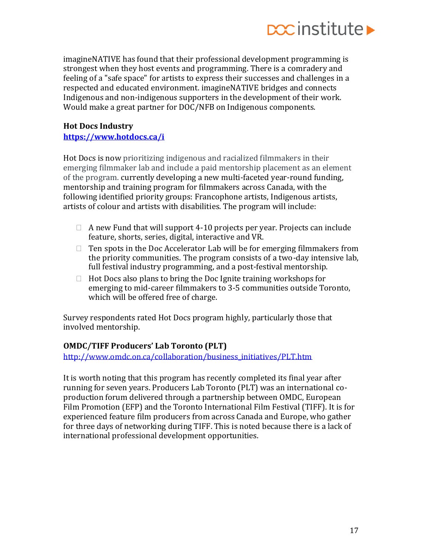

imagineNATIVE has found that their professional development programming is strongest when they host events and programming. There is a comradery and feeling of a "safe space" for artists to express their successes and challenges in a respected and educated environment. imagineNATIVE bridges and connects Indigenous and non-indigenous supporters in the development of their work. Would make a great partner for DOC/NFB on Indigenous components.

#### **Hot Docs Industry https://www.hotdocs.ca/i**

Hot Docs is now prioritizing indigenous and racialized filmmakers in their emerging filmmaker lab and include a paid mentorship placement as an element of the program. currently developing a new multi-faceted year-round funding, mentorship and training program for filmmakers across Canada, with the following identified priority groups: Francophone artists, Indigenous artists, artists of colour and artists with disabilities. The program will include:

- $\Box$  A new Fund that will support 4-10 projects per year. Projects can include feature, shorts, series, digital, interactive and VR.
- $\Box$  Ten spots in the Doc Accelerator Lab will be for emerging filmmakers from the priority communities. The program consists of a two-day intensive lab, full festival industry programming, and a post-festival mentorship.
- $\Box$  Hot Docs also plans to bring the Doc Ignite training workshops for emerging to mid-career filmmakers to 3-5 communities outside Toronto, which will be offered free of charge.

Survey respondents rated Hot Docs program highly, particularly those that involved mentorship.

#### **OMDC/TIFF Producers' Lab Toronto (PLT)**

http://www.omdc.on.ca/collaboration/business\_initiatives/PLT.htm

It is worth noting that this program has recently completed its final year after running for seven years. Producers Lab Toronto (PLT) was an international coproduction forum delivered through a partnership between OMDC, European Film Promotion (EFP) and the Toronto International Film Festival (TIFF). It is for experienced feature film producers from across Canada and Europe, who gather for three days of networking during TIFF. This is noted because there is a lack of international professional development opportunities.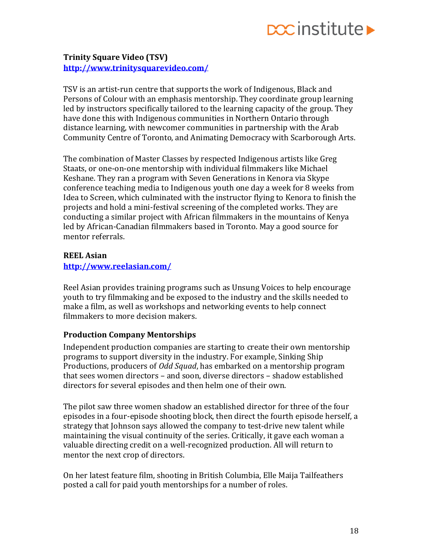# **DCC** institute

## **Trinity Square Video (TSV) http://www.trinitysquarevideo.com/**

TSV is an artist-run centre that supports the work of Indigenous, Black and Persons of Colour with an emphasis mentorship. They coordinate group learning led by instructors specifically tailored to the learning capacity of the group. They have done this with Indigenous communities in Northern Ontario through distance learning, with newcomer communities in partnership with the Arab Community Centre of Toronto, and Animating Democracy with Scarborough Arts.

The combination of Master Classes by respected Indigenous artists like Greg Staats, or one-on-one mentorship with individual filmmakers like Michael Keshane. They ran a program with Seven Generations in Kenora via Skype conference teaching media to Indigenous youth one day a week for 8 weeks from Idea to Screen, which culminated with the instructor flying to Kenora to finish the projects and hold a mini-festival screening of the completed works. They are conducting a similar project with African filmmakers in the mountains of Kenya led by African-Canadian filmmakers based in Toronto. May a good source for mentor referrals.

## **REEL Asian**

#### **http://www.reelasian.com/**

Reel Asian provides training programs such as Unsung Voices to help encourage youth to try filmmaking and be exposed to the industry and the skills needed to make a film, as well as workshops and networking events to help connect filmmakers to more decision makers.

### **Production Company Mentorships**

Independent production companies are starting to create their own mentorship programs to support diversity in the industry. For example, Sinking Ship Productions, producers of *Odd Squad*, has embarked on a mentorship program that sees women directors – and soon, diverse directors – shadow established directors for several episodes and then helm one of their own.

The pilot saw three women shadow an established director for three of the four episodes in a four-episode shooting block, then direct the fourth episode herself, a strategy that Johnson says allowed the company to test-drive new talent while maintaining the visual continuity of the series. Critically, it gave each woman a valuable directing credit on a well-recognized production. All will return to mentor the next crop of directors.

On her latest feature film, shooting in British Columbia, Elle Maija Tailfeathers posted a call for paid youth mentorships for a number of roles.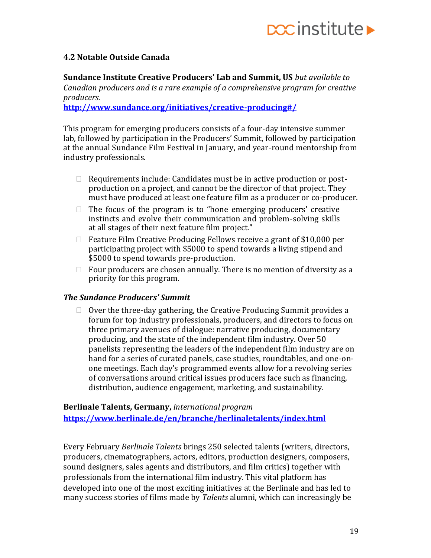# **DOC** institute

#### **4.2 Notable Outside Canada**

**Sundance Institute Creative Producers' Lab and Summit, US** *but available to Canadian producers and is a rare example of a comprehensive program for creative producers.* **http://www.sundance.org/initiatives/creative-producing#/**

This program for emerging producers consists of a four-day intensive summer lab, followed by participation in the Producers' Summit, followed by participation at the annual Sundance Film Festival in January, and year-round mentorship from industry professionals.

- $\Box$  Requirements include: Candidates must be in active production or postproduction on a project, and cannot be the director of that project. They must have produced at least one feature film as a producer or co-producer.
- $\Box$  The focus of the program is to "hone emerging producers' creative instincts and evolve their communication and problem-solving skills at all stages of their next feature film project."
- $\Box$  Feature Film Creative Producing Fellows receive a grant of \$10,000 per participating project with \$5000 to spend towards a living stipend and \$5000 to spend towards pre-production.
- $\Box$  Four producers are chosen annually. There is no mention of diversity as a priority for this program.

#### *The Sundance Producers' Summit*

 $\Box$  Over the three-day gathering, the Creative Producing Summit provides a forum for top industry professionals, producers, and directors to focus on three primary avenues of dialogue: narrative producing, documentary producing, and the state of the independent film industry. Over 50 panelists representing the leaders of the independent film industry are on hand for a series of curated panels, case studies, roundtables, and one-onone meetings. Each day's programmed events allow for a revolving series of conversations around critical issues producers face such as financing, distribution, audience engagement, marketing, and sustainability.

**Berlinale Talents, Germany,** *international program* **https://www.berlinale.de/en/branche/berlinaletalents/index.html**

Every February *Berlinale Talents* brings 250 selected talents (writers, directors, producers, cinematographers, actors, editors, production designers, composers, sound designers, sales agents and distributors, and film critics) together with professionals from the international film industry. This vital platform has developed into one of the most exciting initiatives at the Berlinale and has led to many success stories of films made by *Talents* alumni, which can increasingly be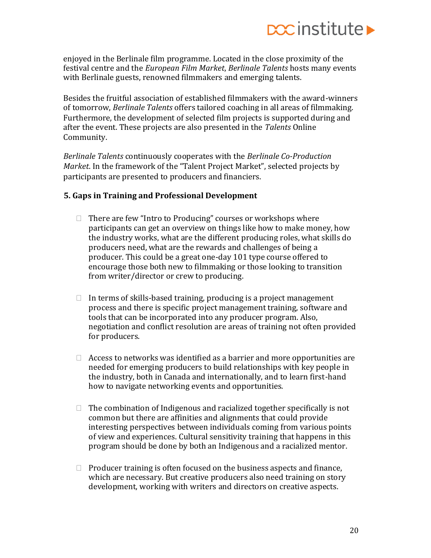enjoyed in the Berlinale film programme. Located in the close proximity of the festival centre and the *European Film Market*, *Berlinale Talents* hosts many events with Berlinale guests, renowned filmmakers and emerging talents.

Besides the fruitful association of established filmmakers with the award-winners of tomorrow, *Berlinale Talents* offers tailored coaching in all areas of filmmaking. Furthermore, the development of selected film projects is supported during and after the event. These projects are also presented in the *Talents* Online Community.

*Berlinale Talents* continuously cooperates with the *Berlinale Co-Production Market*. In the framework of the "Talent Project Market", selected projects by participants are presented to producers and financiers.

### **5. Gaps in Training and Professional Development**

- $\Box$  There are few "Intro to Producing" courses or workshops where participants can get an overview on things like how to make money, how the industry works, what are the different producing roles, what skills do producers need, what are the rewards and challenges of being a producer. This could be a great one-day 101 type course offered to encourage those both new to filmmaking or those looking to transition from writer/director or crew to producing.
- $\Box$  In terms of skills-based training, producing is a project management process and there is specific project management training, software and tools that can be incorporated into any producer program. Also, negotiation and conflict resolution are areas of training not often provided for producers.
- $\Box$  Access to networks was identified as a barrier and more opportunities are needed for emerging producers to build relationships with key people in the industry, both in Canada and internationally, and to learn first-hand how to navigate networking events and opportunities.
- $\Box$  The combination of Indigenous and racialized together specifically is not common but there are affinities and alignments that could provide interesting perspectives between individuals coming from various points of view and experiences. Cultural sensitivity training that happens in this program should be done by both an Indigenous and a racialized mentor.
- $\Box$  Producer training is often focused on the business aspects and finance, which are necessary. But creative producers also need training on story development, working with writers and directors on creative aspects.